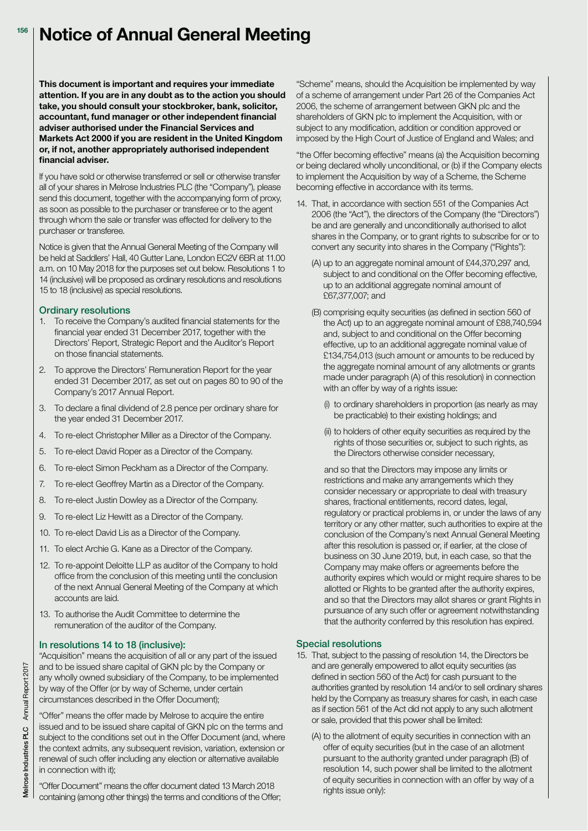#### **Notice of Annual General Meeting 156**

**This document is important and requires your immediate attention. If you are in any doubt as to the action you should take, you should consult your stockbroker, bank, solicitor, accountant, fund manager or other independent financial adviser authorised under the Financial Services and Markets Act 2000 if you are resident in the United Kingdom or, if not, another appropriately authorised independent financial adviser.**

If you have sold or otherwise transferred or sell or otherwise transfer all of your shares in Melrose Industries PLC (the "Company"), please send this document, together with the accompanying form of proxy, as soon as possible to the purchaser or transferee or to the agent through whom the sale or transfer was effected for delivery to the purchaser or transferee.

Notice is given that the Annual General Meeting of the Company will be held at Saddlers' Hall, 40 Gutter Lane, London EC2V 6BR at 11.00 a.m. on 10 May 2018 for the purposes set out below. Resolutions 1 to 14 (inclusive) will be proposed as ordinary resolutions and resolutions 15 to 18 (inclusive) as special resolutions.

### **Ordinary resolutions**

- 1. To receive the Company's audited financial statements for the financial year ended 31 December 2017, together with the Directors' Report, Strategic Report and the Auditor's Report on those financial statements.
- 2. To approve the Directors' Remuneration Report for the year ended 31 December 2017, as set out on pages 80 to 90 of the Company's 2017 Annual Report.
- 3. To declare a final dividend of 2.8 pence per ordinary share for the year ended 31 December 2017.
- 4. To re-elect Christopher Miller as a Director of the Company.
- 5. To re-elect David Roper as a Director of the Company.
- 6. To re-elect Simon Peckham as a Director of the Company.
- 7. To re-elect Geoffrey Martin as a Director of the Company.
- 8. To re-elect Justin Dowley as a Director of the Company.
- 9. To re-elect Liz Hewitt as a Director of the Company.
- 10. To re-elect David Lis as a Director of the Company.
- 11. To elect Archie G. Kane as a Director of the Company.
- 12. To re-appoint Deloitte LLP as auditor of the Company to hold office from the conclusion of this meeting until the conclusion of the next Annual General Meeting of the Company at which accounts are laid.
- 13. To authorise the Audit Committee to determine the remuneration of the auditor of the Company.

## **In resolutions 14 to 18 (inclusive):**

"Acquisition" means the acquisition of all or any part of the issued and to be issued share capital of GKN plc by the Company or any wholly owned subsidiary of the Company, to be implemented by way of the Offer (or by way of Scheme, under certain circumstances described in the Offer Document);

"Offer" means the offer made by Melrose to acquire the entire issued and to be issued share capital of GKN plc on the terms and subject to the conditions set out in the Offer Document (and, where the context admits, any subsequent revision, variation, extension or renewal of such offer including any election or alternative available in connection with it);

"Offer Document" means the offer document dated 13 March 2018 containing (among other things) the terms and conditions of the Offer;

"Scheme" means, should the Acquisition be implemented by way of a scheme of arrangement under Part 26 of the Companies Act 2006, the scheme of arrangement between GKN plc and the shareholders of GKN plc to implement the Acquisition, with or subject to any modification, addition or condition approved or imposed by the High Court of Justice of England and Wales; and

"the Offer becoming effective" means (a) the Acquisition becoming or being declared wholly unconditional, or (b) if the Company elects to implement the Acquisition by way of a Scheme, the Scheme becoming effective in accordance with its terms.

- 14. That, in accordance with section 551 of the Companies Act 2006 (the "Act"), the directors of the Company (the "Directors") be and are generally and unconditionally authorised to allot shares in the Company, or to grant rights to subscribe for or to convert any security into shares in the Company ("Rights"):
	- (A) up to an aggregate nominal amount of £44,370,297 and, subject to and conditional on the Offer becoming effective, up to an additional aggregate nominal amount of £67,377,007; and
	- (B) comprising equity securities (as defined in section 560 of the Act) up to an aggregate nominal amount of £88,740,594 and, subject to and conditional on the Offer becoming effective, up to an additional aggregate nominal value of £134,754,013 (such amount or amounts to be reduced by the aggregate nominal amount of any allotments or grants made under paragraph (A) of this resolution) in connection with an offer by way of a rights issue:
		- (i) to ordinary shareholders in proportion (as nearly as may be practicable) to their existing holdings; and
		- (ii) to holders of other equity securities as required by the rights of those securities or, subject to such rights, as the Directors otherwise consider necessary,

 and so that the Directors may impose any limits or restrictions and make any arrangements which they consider necessary or appropriate to deal with treasury shares, fractional entitlements, record dates, legal, regulatory or practical problems in, or under the laws of any territory or any other matter, such authorities to expire at the conclusion of the Company's next Annual General Meeting after this resolution is passed or, if earlier, at the close of business on 30 June 2019, but, in each case, so that the Company may make offers or agreements before the authority expires which would or might require shares to be allotted or Rights to be granted after the authority expires, and so that the Directors may allot shares or grant Rights in pursuance of any such offer or agreement notwithstanding that the authority conferred by this resolution has expired.

## **Special resolutions**

- 15. That, subject to the passing of resolution 14, the Directors be and are generally empowered to allot equity securities (as defined in section 560 of the Act) for cash pursuant to the authorities granted by resolution 14 and/or to sell ordinary shares held by the Company as treasury shares for cash, in each case as if section 561 of the Act did not apply to any such allotment or sale, provided that this power shall be limited:
	- (A) to the allotment of equity securities in connection with an offer of equity securities (but in the case of an allotment pursuant to the authority granted under paragraph (B) of resolution 14, such power shall be limited to the allotment of equity securities in connection with an offer by way of a rights issue only):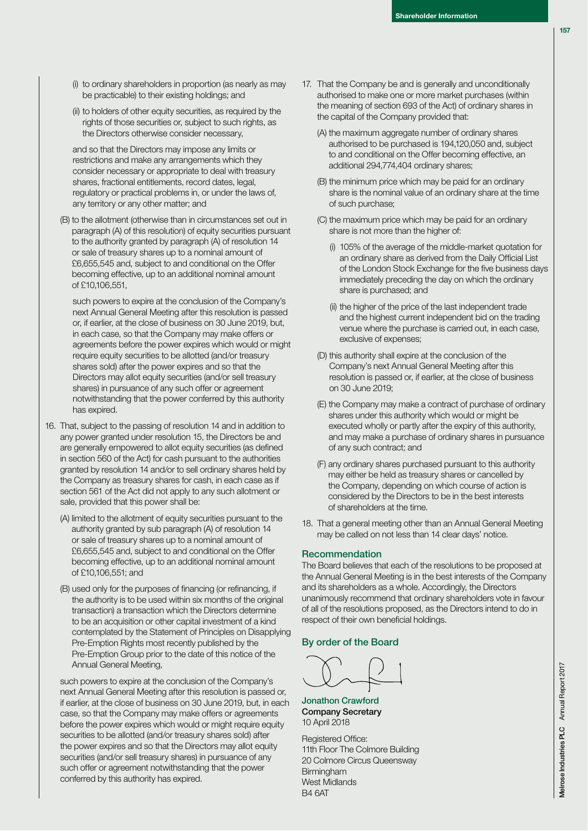- (i) to ordinary shareholders in proportion (as nearly as may be practicable) to their existing holdings; and
- (ii) to holders of other equity securities, as required by the rights of those securities or, subject to such rights, as the Directors otherwise consider necessary,

 and so that the Directors may impose any limits or restrictions and make any arrangements which they consider necessary or appropriate to deal with treasury shares, fractional entitlements, record dates, legal, regulatory or practical problems in, or under the laws of, any territory or any other matter; and

 (B) to the allotment (otherwise than in circumstances set out in paragraph (A) of this resolution) of equity securities pursuant to the authority granted by paragraph (A) of resolution 14 or sale of treasury shares up to a nominal amount of £6,655,545 and, subject to and conditional on the Offer becoming effective, up to an additional nominal amount of £10,106,551,

 such powers to expire at the conclusion of the Company's next Annual General Meeting after this resolution is passed or, if earlier, at the close of business on 30 June 2019, but, in each case, so that the Company may make offers or agreements before the power expires which would or might require equity securities to be allotted (and/or treasury shares sold) after the power expires and so that the Directors may allot equity securities (and/or sell treasury shares) in pursuance of any such offer or agreement notwithstanding that the power conferred by this authority has expired.

- 16. That, subject to the passing of resolution 14 and in addition to any power granted under resolution 15, the Directors be and are generally empowered to allot equity securities (as defined in section 560 of the Act) for cash pursuant to the authorities granted by resolution 14 and/or to sell ordinary shares held by the Company as treasury shares for cash, in each case as if section 561 of the Act did not apply to any such allotment or sale, provided that this power shall be:
	- (A) limited to the allotment of equity securities pursuant to the authority granted by sub paragraph (A) of resolution 14 or sale of treasury shares up to a nominal amount of £6,655,545 and, subject to and conditional on the Offer becoming effective, up to an additional nominal amount of £10,106,551; and
	- (B) used only for the purposes of financing (or refinancing, if the authority is to be used within six months of the original transaction) a transaction which the Directors determine to be an acquisition or other capital investment of a kind contemplated by the Statement of Principles on Disapplying Pre-Emption Rights most recently published by the Pre-Emption Group prior to the date of this notice of the Annual General Meeting,

 such powers to expire at the conclusion of the Company's next Annual General Meeting after this resolution is passed or, if earlier, at the close of business on 30 June 2019, but, in each case, so that the Company may make offers or agreements before the power expires which would or might require equity securities to be allotted (and/or treasury shares sold) after the power expires and so that the Directors may allot equity securities (and/or sell treasury shares) in pursuance of any such offer or agreement notwithstanding that the power conferred by this authority has expired.

- 17. That the Company be and is generally and unconditionally authorised to make one or more market purchases (within the meaning of section 693 of the Act) of ordinary shares in the capital of the Company provided that:
	- (A) the maximum aggregate number of ordinary shares authorised to be purchased is 194,120,050 and, subject to and conditional on the Offer becoming effective, an additional 294,774,404 ordinary shares;
	- (B) the minimum price which may be paid for an ordinary share is the nominal value of an ordinary share at the time of such purchase;
	- (C) the maximum price which may be paid for an ordinary share is not more than the higher of:
		- (i) 105% of the average of the middle-market quotation for an ordinary share as derived from the Daily Official List of the London Stock Exchange for the five business days immediately preceding the day on which the ordinary share is purchased; and
		- (ii) the higher of the price of the last independent trade and the highest current independent bid on the trading venue where the purchase is carried out, in each case, exclusive of expenses;
	- (D) this authority shall expire at the conclusion of the Company's next Annual General Meeting after this resolution is passed or, if earlier, at the close of business on 30 June 2019;
	- (E) the Company may make a contract of purchase of ordinary shares under this authority which would or might be executed wholly or partly after the expiry of this authority, and may make a purchase of ordinary shares in pursuance of any such contract; and
	- (F) any ordinary shares purchased pursuant to this authority may either be held as treasury shares or cancelled by the Company, depending on which course of action is considered by the Directors to be in the best interests of shareholders at the time.
- 18. That a general meeting other than an Annual General Meeting may be called on not less than 14 clear days' notice.

# **Recommendation**

The Board believes that each of the resolutions to be proposed at the Annual General Meeting is in the best interests of the Company and its shareholders as a whole. Accordingly, the Directors unanimously recommend that ordinary shareholders vote in favour of all of the resolutions proposed, as the Directors intend to do in respect of their own beneficial holdings.

# **By order of the Board**

**Jonathon Crawford Company Secretary**  10 April 2018

Registered Office: 11th Floor The Colmore Building 20 Colmore Circus Queensway Birmingham West Midlands B4 6AT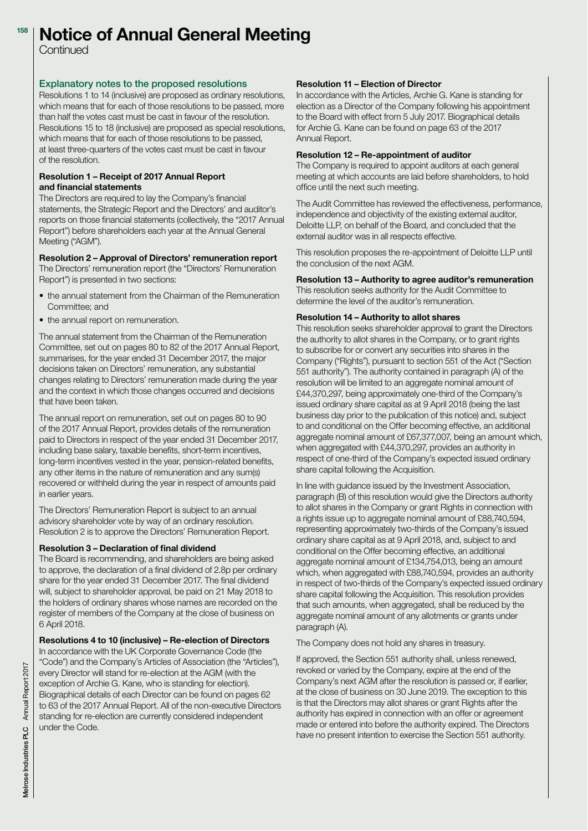#### **Notice of Annual General Meeting 158**

Continued

## **Explanatory notes to the proposed resolutions**

Resolutions 1 to 14 (inclusive) are proposed as ordinary resolutions, which means that for each of those resolutions to be passed, more than half the votes cast must be cast in favour of the resolution. Resolutions 15 to 18 (inclusive) are proposed as special resolutions, which means that for each of those resolutions to be passed, at least three-quarters of the votes cast must be cast in favour of the resolution.

### **Resolution 1 – Receipt of 2017 Annual Report and financial statements**

The Directors are required to lay the Company's financial statements, the Strategic Report and the Directors' and auditor's reports on those financial statements (collectively, the "2017 Annual Report") before shareholders each year at the Annual General Meeting ("AGM").

# **Resolution 2 – Approval of Directors' remuneration report**

The Directors' remuneration report (the "Directors' Remuneration Report") is presented in two sections:

- the annual statement from the Chairman of the Remuneration Committee; and
- the annual report on remuneration.

The annual statement from the Chairman of the Remuneration Committee, set out on pages 80 to 82 of the 2017 Annual Report, summarises, for the year ended 31 December 2017, the major decisions taken on Directors' remuneration, any substantial changes relating to Directors' remuneration made during the year and the context in which those changes occurred and decisions that have been taken.

The annual report on remuneration, set out on pages 80 to 90 of the 2017 Annual Report, provides details of the remuneration paid to Directors in respect of the year ended 31 December 2017, including base salary, taxable benefits, short-term incentives, long-term incentives vested in the year, pension-related benefits, any other items in the nature of remuneration and any sum(s) recovered or withheld during the year in respect of amounts paid in earlier years.

The Directors' Remuneration Report is subject to an annual advisory shareholder vote by way of an ordinary resolution. Resolution 2 is to approve the Directors' Remuneration Report.

## **Resolution 3 – Declaration of final dividend**

The Board is recommending, and shareholders are being asked to approve, the declaration of a final dividend of 2.8p per ordinary share for the year ended 31 December 2017. The final dividend will, subject to shareholder approval, be paid on 21 May 2018 to the holders of ordinary shares whose names are recorded on the register of members of the Company at the close of business on 6 April 2018.

# **Resolutions 4 to 10 (inclusive) – Re-election of Directors**

In accordance with the UK Corporate Governance Code (the "Code") and the Company's Articles of Association (the "Articles"), every Director will stand for re-election at the AGM (with the exception of Archie G. Kane, who is standing for election). Biographical details of each Director can be found on pages 62 to 63 of the 2017 Annual Report. All of the non-executive Directors standing for re-election are currently considered independent under the Code.

### **Resolution 11 – Election of Director**

In accordance with the Articles, Archie G. Kane is standing for election as a Director of the Company following his appointment to the Board with effect from 5 July 2017. Biographical details for Archie G. Kane can be found on page 63 of the 2017 Annual Report.

### **Resolution 12 – Re-appointment of auditor**

The Company is required to appoint auditors at each general meeting at which accounts are laid before shareholders, to hold office until the next such meeting.

The Audit Committee has reviewed the effectiveness, performance, independence and objectivity of the existing external auditor, Deloitte LLP, on behalf of the Board, and concluded that the external auditor was in all respects effective.

This resolution proposes the re-appointment of Deloitte LLP until the conclusion of the next AGM.

## **Resolution 13 – Authority to agree auditor's remuneration**

This resolution seeks authority for the Audit Committee to determine the level of the auditor's remuneration.

### **Resolution 14 – Authority to allot shares**

This resolution seeks shareholder approval to grant the Directors the authority to allot shares in the Company, or to grant rights to subscribe for or convert any securities into shares in the Company ("Rights"), pursuant to section 551 of the Act ("Section 551 authority"). The authority contained in paragraph (A) of the resolution will be limited to an aggregate nominal amount of £44,370,297, being approximately one-third of the Company's issued ordinary share capital as at 9 April 2018 (being the last business day prior to the publication of this notice) and, subject to and conditional on the Offer becoming effective, an additional aggregate nominal amount of £67,377,007, being an amount which, when aggregated with £44,370,297, provides an authority in respect of one-third of the Company's expected issued ordinary share capital following the Acquisition.

In line with guidance issued by the Investment Association, paragraph (B) of this resolution would give the Directors authority to allot shares in the Company or grant Rights in connection with a rights issue up to aggregate nominal amount of £88,740,594, representing approximately two-thirds of the Company's issued ordinary share capital as at 9 April 2018, and, subject to and conditional on the Offer becoming effective, an additional aggregate nominal amount of £134,754,013, being an amount which, when aggregated with £88,740,594, provides an authority in respect of two-thirds of the Company's expected issued ordinary share capital following the Acquisition. This resolution provides that such amounts, when aggregated, shall be reduced by the aggregate nominal amount of any allotments or grants under paragraph (A).

The Company does not hold any shares in treasury.

If approved, the Section 551 authority shall, unless renewed, revoked or varied by the Company, expire at the end of the Company's next AGM after the resolution is passed or, if earlier, at the close of business on 30 June 2019. The exception to this is that the Directors may allot shares or grant Rights after the authority has expired in connection with an offer or agreement made or entered into before the authority expired. The Directors have no present intention to exercise the Section 551 authority.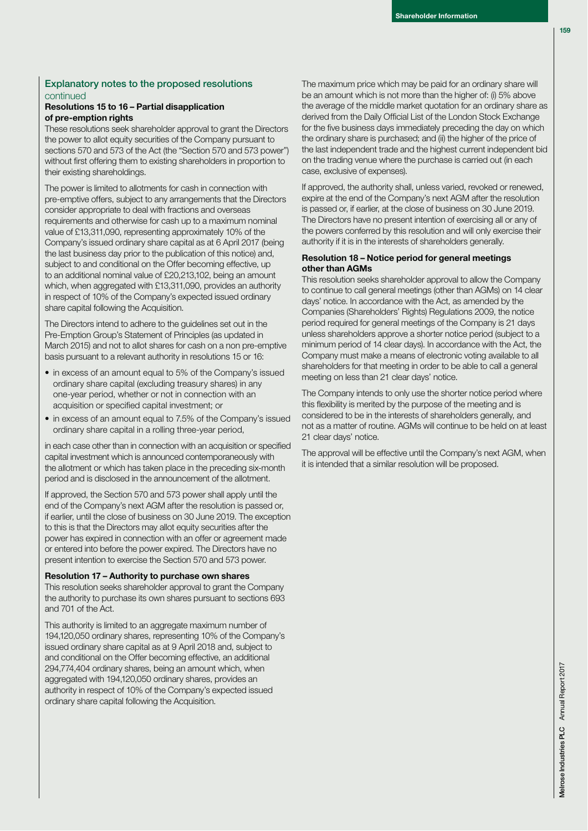# **Explanatory notes to the proposed resolutions**  continued

## **Resolutions 15 to 16 – Partial disapplication of pre-emption rights**

These resolutions seek shareholder approval to grant the Directors the power to allot equity securities of the Company pursuant to sections 570 and 573 of the Act (the "Section 570 and 573 power") without first offering them to existing shareholders in proportion to their existing shareholdings.

The power is limited to allotments for cash in connection with pre-emptive offers, subject to any arrangements that the Directors consider appropriate to deal with fractions and overseas requirements and otherwise for cash up to a maximum nominal value of £13,311,090, representing approximately 10% of the Company's issued ordinary share capital as at 6 April 2017 (being the last business day prior to the publication of this notice) and, subject to and conditional on the Offer becoming effective, up to an additional nominal value of £20,213,102, being an amount which, when aggregated with £13,311,090, provides an authority in respect of 10% of the Company's expected issued ordinary share capital following the Acquisition.

The Directors intend to adhere to the guidelines set out in the Pre-Emption Group's Statement of Principles (as updated in March 2015) and not to allot shares for cash on a non pre-emptive basis pursuant to a relevant authority in resolutions 15 or 16:

- in excess of an amount equal to 5% of the Company's issued ordinary share capital (excluding treasury shares) in any one-year period, whether or not in connection with an acquisition or specified capital investment; or
- in excess of an amount equal to 7.5% of the Company's issued ordinary share capital in a rolling three-year period,

in each case other than in connection with an acquisition or specified capital investment which is announced contemporaneously with the allotment or which has taken place in the preceding six-month period and is disclosed in the announcement of the allotment.

If approved, the Section 570 and 573 power shall apply until the end of the Company's next AGM after the resolution is passed or, if earlier, until the close of business on 30 June 2019. The exception to this is that the Directors may allot equity securities after the power has expired in connection with an offer or agreement made or entered into before the power expired. The Directors have no present intention to exercise the Section 570 and 573 power.

#### **Resolution 17 – Authority to purchase own shares**

This resolution seeks shareholder approval to grant the Company the authority to purchase its own shares pursuant to sections 693 and 701 of the Act.

This authority is limited to an aggregate maximum number of 194,120,050 ordinary shares, representing 10% of the Company's issued ordinary share capital as at 9 April 2018 and, subject to and conditional on the Offer becoming effective, an additional 294,774,404 ordinary shares, being an amount which, when aggregated with 194,120,050 ordinary shares, provides an authority in respect of 10% of the Company's expected issued ordinary share capital following the Acquisition.

The maximum price which may be paid for an ordinary share will be an amount which is not more than the higher of: (i) 5% above the average of the middle market quotation for an ordinary share as derived from the Daily Official List of the London Stock Exchange for the five business days immediately preceding the day on which the ordinary share is purchased; and (ii) the higher of the price of the last independent trade and the highest current independent bid on the trading venue where the purchase is carried out (in each case, exclusive of expenses).

If approved, the authority shall, unless varied, revoked or renewed, expire at the end of the Company's next AGM after the resolution is passed or, if earlier, at the close of business on 30 June 2019. The Directors have no present intention of exercising all or any of the powers conferred by this resolution and will only exercise their authority if it is in the interests of shareholders generally.

#### **Resolution 18 – Notice period for general meetings other than AGMs**

This resolution seeks shareholder approval to allow the Company to continue to call general meetings (other than AGMs) on 14 clear days' notice. In accordance with the Act, as amended by the Companies (Shareholders' Rights) Regulations 2009, the notice period required for general meetings of the Company is 21 days unless shareholders approve a shorter notice period (subject to a minimum period of 14 clear days). In accordance with the Act, the Company must make a means of electronic voting available to all shareholders for that meeting in order to be able to call a general meeting on less than 21 clear days' notice.

The Company intends to only use the shorter notice period where this flexibility is merited by the purpose of the meeting and is considered to be in the interests of shareholders generally, and not as a matter of routine. AGMs will continue to be held on at least 21 clear days' notice.

The approval will be effective until the Company's next AGM, when it is intended that a similar resolution will be proposed.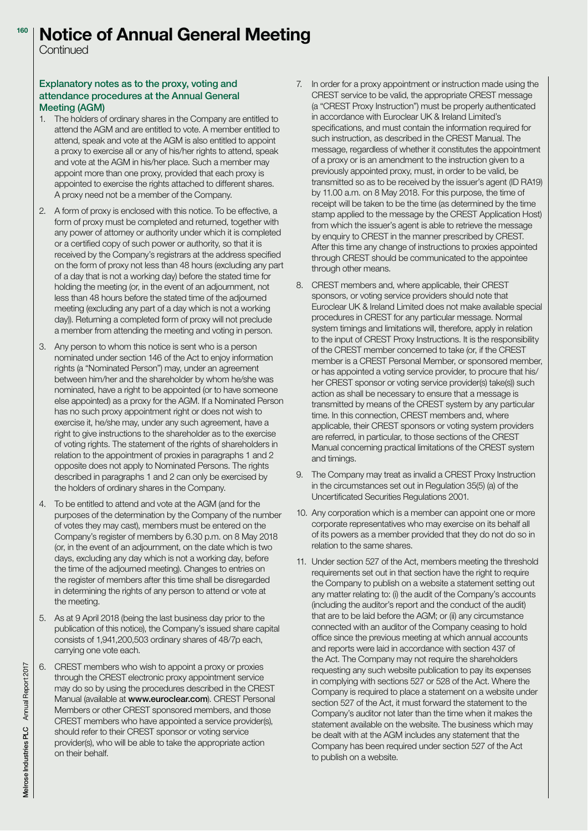#### **Notice of Annual General Meeting 160**

Continued

# **Explanatory notes as to the proxy, voting and attendance procedures at the Annual General Meeting (AGM)**

- 1. The holders of ordinary shares in the Company are entitled to attend the AGM and are entitled to vote. A member entitled to attend, speak and vote at the AGM is also entitled to appoint a proxy to exercise all or any of his/her rights to attend, speak and vote at the AGM in his/her place. Such a member may appoint more than one proxy, provided that each proxy is appointed to exercise the rights attached to different shares. A proxy need not be a member of the Company.
- 2. A form of proxy is enclosed with this notice. To be effective, a form of proxy must be completed and returned, together with any power of attorney or authority under which it is completed or a certified copy of such power or authority, so that it is received by the Company's registrars at the address specified on the form of proxy not less than 48 hours (excluding any part of a day that is not a working day) before the stated time for holding the meeting (or, in the event of an adjournment, not less than 48 hours before the stated time of the adjourned meeting (excluding any part of a day which is not a working day)). Returning a completed form of proxy will not preclude a member from attending the meeting and voting in person.
- 3. Any person to whom this notice is sent who is a person nominated under section 146 of the Act to enjoy information rights (a "Nominated Person") may, under an agreement between him/her and the shareholder by whom he/she was nominated, have a right to be appointed (or to have someone else appointed) as a proxy for the AGM. If a Nominated Person has no such proxy appointment right or does not wish to exercise it, he/she may, under any such agreement, have a right to give instructions to the shareholder as to the exercise of voting rights. The statement of the rights of shareholders in relation to the appointment of proxies in paragraphs 1 and 2 opposite does not apply to Nominated Persons. The rights described in paragraphs 1 and 2 can only be exercised by the holders of ordinary shares in the Company.
- 4. To be entitled to attend and vote at the AGM (and for the purposes of the determination by the Company of the number of votes they may cast), members must be entered on the Company's register of members by 6.30 p.m. on 8 May 2018 (or, in the event of an adjournment, on the date which is two days, excluding any day which is not a working day, before the time of the adjourned meeting). Changes to entries on the register of members after this time shall be disregarded in determining the rights of any person to attend or vote at the meeting.
- 5. As at 9 April 2018 (being the last business day prior to the publication of this notice), the Company's issued share capital consists of 1,941,200,503 ordinary shares of 48/7p each, carrying one vote each.
- 6. CREST members who wish to appoint a proxy or proxies through the CREST electronic proxy appointment service may do so by using the procedures described in the CREST Manual (available at **www.euroclear.com**). CREST Personal Members or other CREST sponsored members, and those CREST members who have appointed a service provider(s), should refer to their CREST sponsor or voting service provider(s), who will be able to take the appropriate action on their behalf.
- 7. In order for a proxy appointment or instruction made using the CREST service to be valid, the appropriate CREST message (a "CREST Proxy Instruction") must be properly authenticated in accordance with Euroclear UK & Ireland Limited's specifications, and must contain the information required for such instruction, as described in the CREST Manual. The message, regardless of whether it constitutes the appointment of a proxy or is an amendment to the instruction given to a previously appointed proxy, must, in order to be valid, be transmitted so as to be received by the issuer's agent (ID RA19) by 11.00 a.m. on 8 May 2018. For this purpose, the time of receipt will be taken to be the time (as determined by the time stamp applied to the message by the CREST Application Host) from which the issuer's agent is able to retrieve the message by enquiry to CREST in the manner prescribed by CREST. After this time any change of instructions to proxies appointed through CREST should be communicated to the appointee through other means.
- 8. CREST members and, where applicable, their CREST sponsors, or voting service providers should note that Euroclear UK & Ireland Limited does not make available special procedures in CREST for any particular message. Normal system timings and limitations will, therefore, apply in relation to the input of CREST Proxy Instructions. It is the responsibility of the CREST member concerned to take (or, if the CREST member is a CREST Personal Member, or sponsored member, or has appointed a voting service provider, to procure that his/ her CREST sponsor or voting service provider(s) take(s)) such action as shall be necessary to ensure that a message is transmitted by means of the CREST system by any particular time. In this connection, CREST members and, where applicable, their CREST sponsors or voting system providers are referred, in particular, to those sections of the CREST Manual concerning practical limitations of the CREST system and timings.
- 9. The Company may treat as invalid a CREST Proxy Instruction in the circumstances set out in Regulation 35(5) (a) of the Uncertificated Securities Regulations 2001.
- 10. Any corporation which is a member can appoint one or more corporate representatives who may exercise on its behalf all of its powers as a member provided that they do not do so in relation to the same shares.
- 11. Under section 527 of the Act, members meeting the threshold requirements set out in that section have the right to require the Company to publish on a website a statement setting out any matter relating to: (i) the audit of the Company's accounts (including the auditor's report and the conduct of the audit) that are to be laid before the AGM; or (ii) any circumstance connected with an auditor of the Company ceasing to hold office since the previous meeting at which annual accounts and reports were laid in accordance with section 437 of the Act. The Company may not require the shareholders requesting any such website publication to pay its expenses in complying with sections 527 or 528 of the Act. Where the Company is required to place a statement on a website under section 527 of the Act, it must forward the statement to the Company's auditor not later than the time when it makes the statement available on the website. The business which may be dealt with at the AGM includes any statement that the Company has been required under section 527 of the Act to publish on a website.